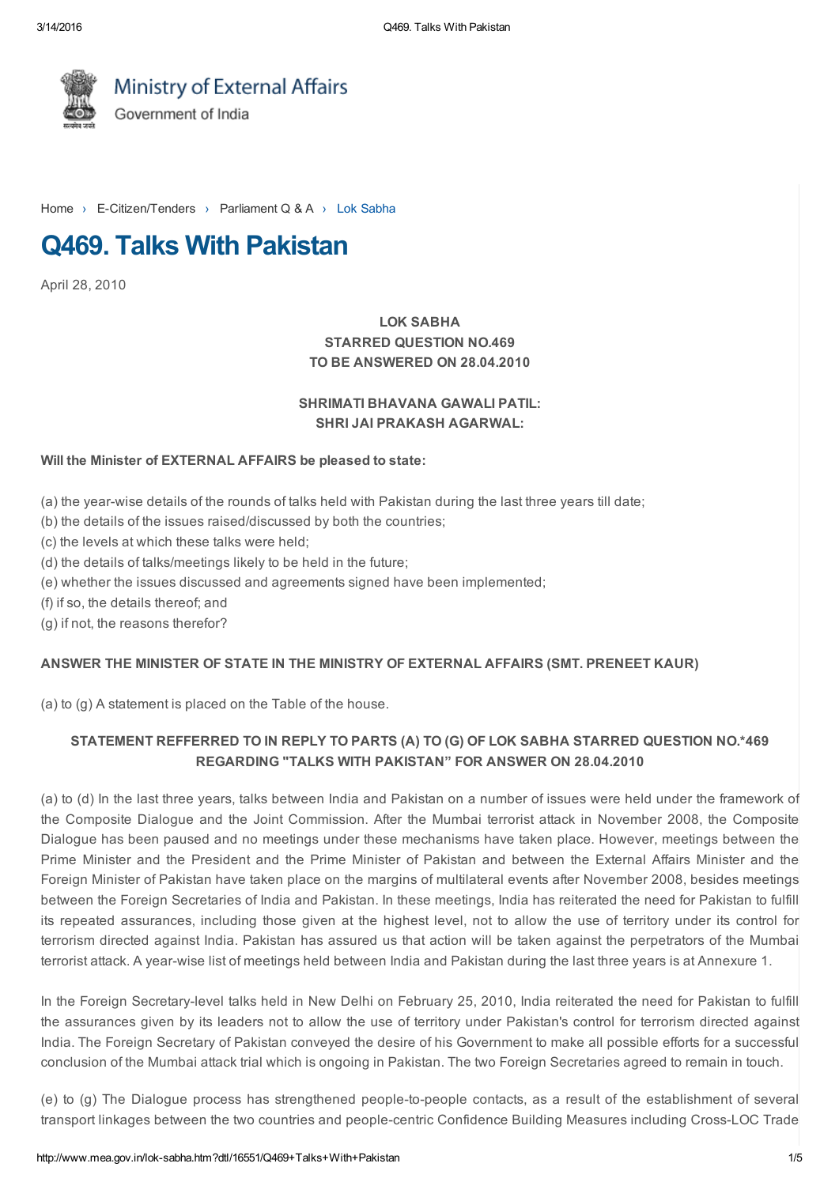

Ministry of External Affairs Government of India

[Home](http://www.mea.gov.in/index.htm) > E-Citizen/Tenders > Parliament Q & A > Lok Sabha

# Q469. Talks With Pakistan

April 28, 2010

# LOK SABHA STARRED QUESTION NO.469 TO BE ANSWERED ON 28.04.2010

### SHRIMATI BHAVANA GAWALI PATIL: SHRI JAI PRAKASH AGARWAL:

#### Will the Minister of EXTERNAL AFFAIRS be pleased to state:

- (a) the year-wise details of the rounds of talks held with Pakistan during the last three years till date;
- (b) the details of the issues raised/discussed by both the countries;
- (c) the levels at which these talks were held;
- (d) the details of talks/meetings likely to be held in the future;
- (e) whether the issues discussed and agreements signed have been implemented;
- (f) if so, the details thereof; and
- (g) if not, the reasons therefor?

#### ANSWER THE MINISTER OF STATE IN THE MINISTRY OF EXTERNAL AFFAIRS (SMT. PRENEET KAUR)

(a) to (g) A statement is placed on the Table of the house.

## STATEMENT REFFERRED TO IN REPLY TO PARTS (A) TO (G) OF LOK SABHA STARRED QUESTION NO.\*469 REGARDING "TALKS WITH PAKISTAN" FOR ANSWER ON 28.04.2010

(a) to (d) In the last three years, talks between India and Pakistan on a number of issues were held under the framework of the Composite Dialogue and the Joint Commission. After the Mumbai terrorist attack in November 2008, the Composite Dialogue has been paused and no meetings under these mechanisms have taken place. However, meetings between the Prime Minister and the President and the Prime Minister of Pakistan and between the External Affairs Minister and the Foreign Minister of Pakistan have taken place on the margins of multilateral events after November 2008, besides meetings between the Foreign Secretaries of India and Pakistan. In these meetings, India has reiterated the need for Pakistan to fulfill its repeated assurances, including those given at the highest level, not to allow the use of territory under its control for terrorism directed against India. Pakistan has assured us that action will be taken against the perpetrators of the Mumbai terrorist attack. A year-wise list of meetings held between India and Pakistan during the last three years is at Annexure 1.

In the Foreign Secretary-level talks held in New Delhi on February 25, 2010, India reiterated the need for Pakistan to fulfill the assurances given by its leaders not to allow the use of territory under Pakistan's control for terrorism directed against India. The Foreign Secretary of Pakistan conveyed the desire of his Government to make all possible efforts for a successful conclusion of the Mumbai attack trial which is ongoing in Pakistan. The two Foreign Secretaries agreed to remain in touch.

(e) to (g) The Dialogue process has strengthened people-to-people contacts, as a result of the establishment of several transport linkages between the two countries and people-centric Confidence Building Measures including Cross-LOC Trade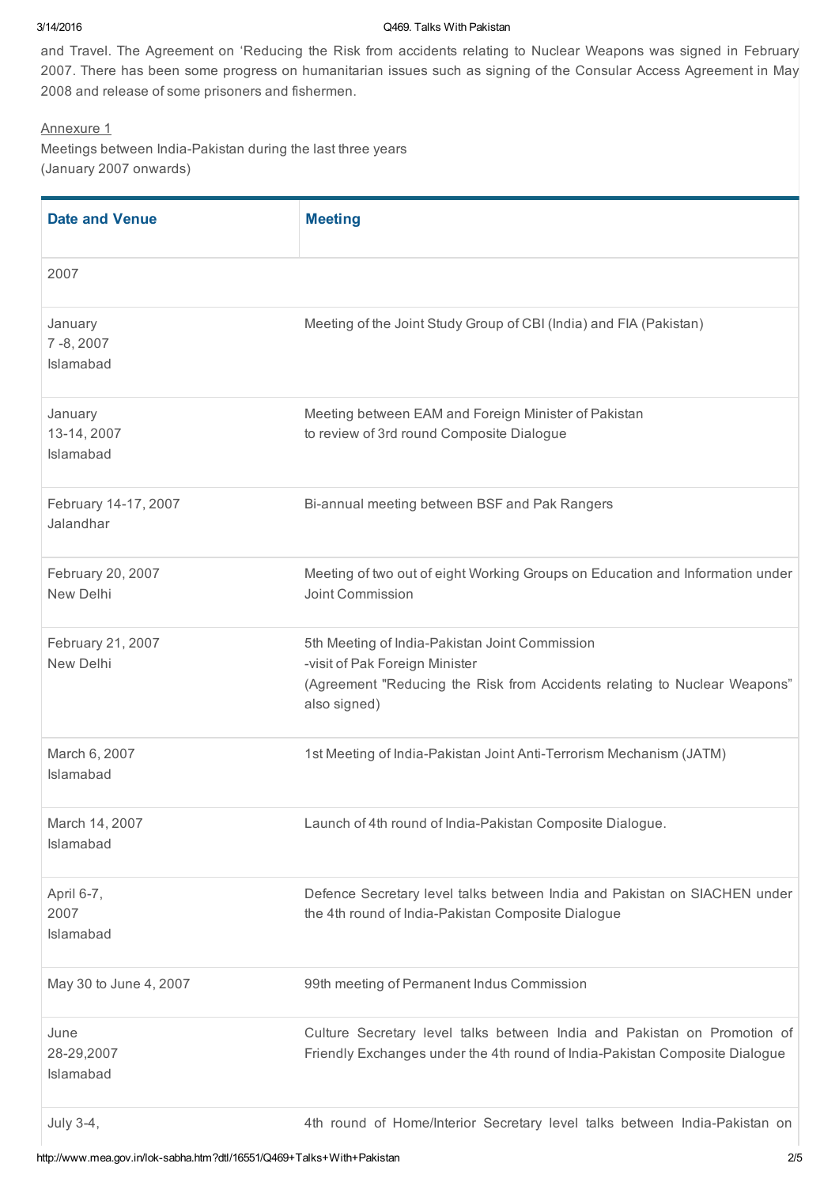#### 3/14/2016 Q469. Talks With Pakistan

and Travel. The Agreement on 'Reducing the Risk from accidents relating to Nuclear Weapons was signed in February 2007. There has been some progress on humanitarian issues such as signing of the Consular Access Agreement in May 2008 and release of some prisoners and fishermen.

#### Annexure 1

Meetings between India-Pakistan during the last three years (January 2007 onwards)

| <b>Date and Venue</b>               | <b>Meeting</b>                                                                                                                                                                |
|-------------------------------------|-------------------------------------------------------------------------------------------------------------------------------------------------------------------------------|
| 2007                                |                                                                                                                                                                               |
| January<br>7-8, 2007<br>Islamabad   | Meeting of the Joint Study Group of CBI (India) and FIA (Pakistan)                                                                                                            |
| January<br>13-14, 2007<br>Islamabad | Meeting between EAM and Foreign Minister of Pakistan<br>to review of 3rd round Composite Dialogue                                                                             |
| February 14-17, 2007<br>Jalandhar   | Bi-annual meeting between BSF and Pak Rangers                                                                                                                                 |
| February 20, 2007<br>New Delhi      | Meeting of two out of eight Working Groups on Education and Information under<br>Joint Commission                                                                             |
| February 21, 2007<br>New Delhi      | 5th Meeting of India-Pakistan Joint Commission<br>-visit of Pak Foreign Minister<br>(Agreement "Reducing the Risk from Accidents relating to Nuclear Weapons"<br>also signed) |
| March 6, 2007<br>Islamabad          | 1st Meeting of India-Pakistan Joint Anti-Terrorism Mechanism (JATM)                                                                                                           |
| March 14, 2007<br>Islamabad         | Launch of 4th round of India-Pakistan Composite Dialogue.                                                                                                                     |
| April 6-7,<br>2007<br>Islamabad     | Defence Secretary level talks between India and Pakistan on SIACHEN under<br>the 4th round of India-Pakistan Composite Dialogue                                               |
| May 30 to June 4, 2007              | 99th meeting of Permanent Indus Commission                                                                                                                                    |
| June<br>28-29,2007<br>Islamabad     | Culture Secretary level talks between India and Pakistan on Promotion of<br>Friendly Exchanges under the 4th round of India-Pakistan Composite Dialogue                       |
| July 3-4,                           | 4th round of Home/Interior Secretary level talks between India-Pakistan on                                                                                                    |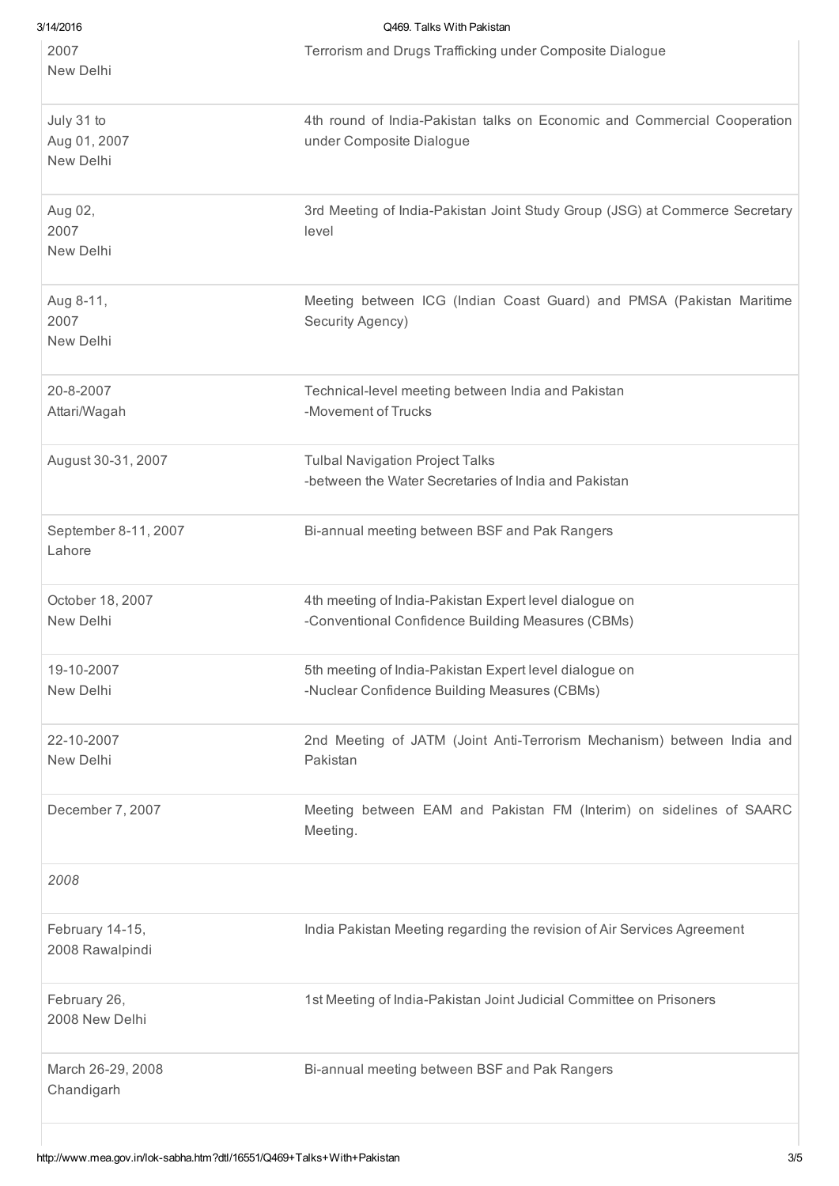| 3/14/2016            | Q469. Talks With Pakistan                                                   |
|----------------------|-----------------------------------------------------------------------------|
| 2007                 | Terrorism and Drugs Trafficking under Composite Dialogue                    |
| New Delhi            |                                                                             |
| July 31 to           | 4th round of India-Pakistan talks on Economic and Commercial Cooperation    |
| Aug 01, 2007         | under Composite Dialogue                                                    |
| New Delhi            |                                                                             |
| Aug 02,              | 3rd Meeting of India-Pakistan Joint Study Group (JSG) at Commerce Secretary |
| 2007                 | level                                                                       |
| New Delhi            |                                                                             |
| Aug 8-11,            | Meeting between ICG (Indian Coast Guard) and PMSA (Pakistan Maritime        |
| 2007                 | Security Agency)                                                            |
| New Delhi            |                                                                             |
| 20-8-2007            | Technical-level meeting between India and Pakistan                          |
| Attari/Wagah         | -Movement of Trucks                                                         |
| August 30-31, 2007   | <b>Tulbal Navigation Project Talks</b>                                      |
|                      | -between the Water Secretaries of India and Pakistan                        |
| September 8-11, 2007 | Bi-annual meeting between BSF and Pak Rangers                               |
| Lahore               |                                                                             |
| October 18, 2007     | 4th meeting of India-Pakistan Expert level dialogue on                      |
| New Delhi            | -Conventional Confidence Building Measures (CBMs)                           |
| 19-10-2007           | 5th meeting of India-Pakistan Expert level dialogue on                      |
| New Delhi            | -Nuclear Confidence Building Measures (CBMs)                                |
| 22-10-2007           | 2nd Meeting of JATM (Joint Anti-Terrorism Mechanism) between India and      |
| New Delhi            | Pakistan                                                                    |
| December 7, 2007     | Meeting between EAM and Pakistan FM (Interim) on sidelines of SAARC         |
|                      | Meeting.                                                                    |
| 2008                 |                                                                             |
| February 14-15,      | India Pakistan Meeting regarding the revision of Air Services Agreement     |
| 2008 Rawalpindi      |                                                                             |
| February 26,         | 1st Meeting of India-Pakistan Joint Judicial Committee on Prisoners         |
| 2008 New Delhi       |                                                                             |
| March 26-29, 2008    | Bi-annual meeting between BSF and Pak Rangers                               |
| Chandigarh           |                                                                             |
|                      |                                                                             |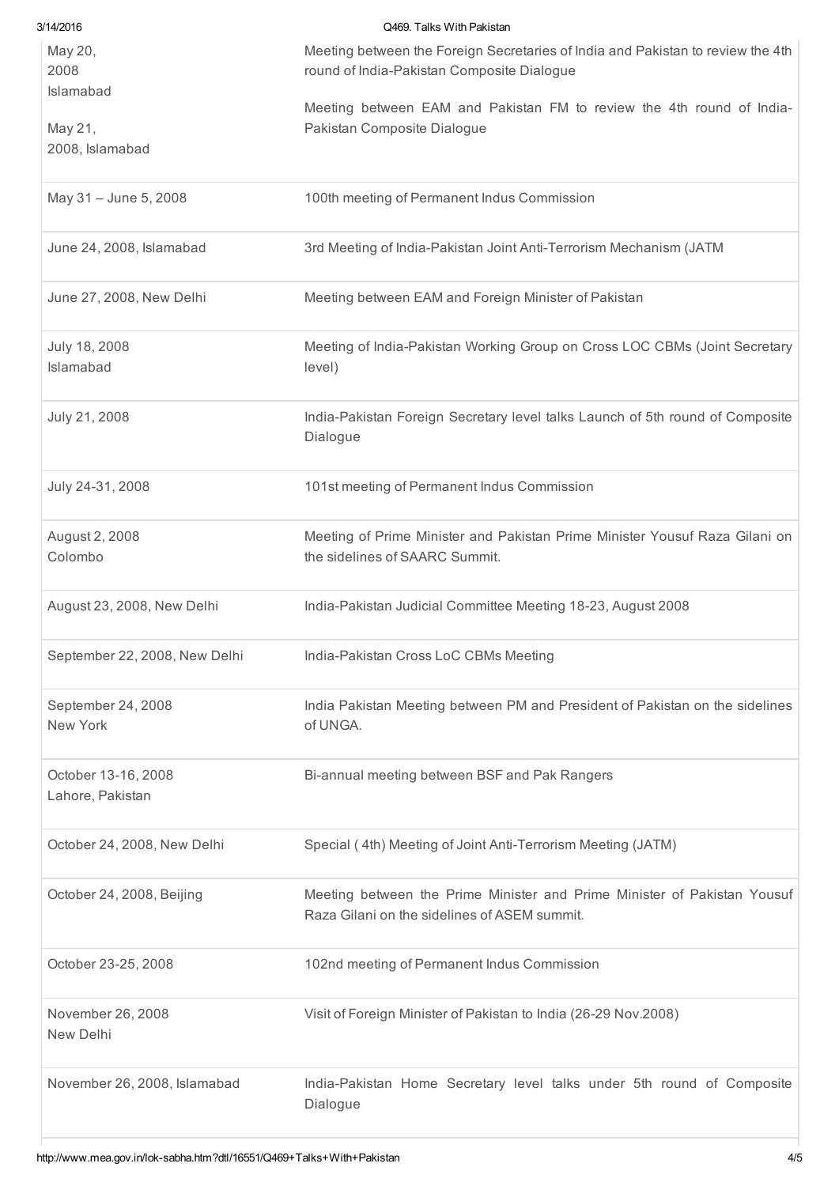| 3/14/2016                               | Q469. Talks With Pakistan                                                                                                     |
|-----------------------------------------|-------------------------------------------------------------------------------------------------------------------------------|
| May 20,<br>2008<br>Islamabad            | Meeting between the Foreign Secretaries of India and Pakistan to review the 4th<br>round of India-Pakistan Composite Dialogue |
| May 21,<br>2008, Islamabad              | Meeting between EAM and Pakistan FM to review the 4th round of India-<br>Pakistan Composite Dialogue                          |
| May 31 - June 5, 2008                   | 100th meeting of Permanent Indus Commission                                                                                   |
| June 24, 2008, Islamabad                | 3rd Meeting of India-Pakistan Joint Anti-Terrorism Mechanism (JATM                                                            |
| June 27, 2008, New Delhi                | Meeting between EAM and Foreign Minister of Pakistan                                                                          |
| July 18, 2008<br>Islamabad              | Meeting of India-Pakistan Working Group on Cross LOC CBMs (Joint Secretary<br>level)                                          |
| July 21, 2008                           | India-Pakistan Foreign Secretary level talks Launch of 5th round of Composite<br>Dialogue                                     |
| July 24-31, 2008                        | 101st meeting of Permanent Indus Commission                                                                                   |
| August 2, 2008<br>Colombo               | Meeting of Prime Minister and Pakistan Prime Minister Yousuf Raza Gilani on<br>the sidelines of SAARC Summit.                 |
| August 23, 2008, New Delhi              | India-Pakistan Judicial Committee Meeting 18-23, August 2008                                                                  |
| September 22, 2008, New Delhi           | India-Pakistan Cross LoC CBMs Meeting                                                                                         |
| September 24, 2008<br>New York          | India Pakistan Meeting between PM and President of Pakistan on the sidelines<br>of UNGA.                                      |
| October 13-16, 2008<br>Lahore, Pakistan | Bi-annual meeting between BSF and Pak Rangers                                                                                 |
| October 24, 2008, New Delhi             | Special (4th) Meeting of Joint Anti-Terrorism Meeting (JATM)                                                                  |
| October 24, 2008, Beijing               | Meeting between the Prime Minister and Prime Minister of Pakistan Yousuf<br>Raza Gilani on the sidelines of ASEM summit.      |
| October 23-25, 2008                     | 102nd meeting of Permanent Indus Commission                                                                                   |
| November 26, 2008<br>New Delhi          | Visit of Foreign Minister of Pakistan to India (26-29 Nov.2008)                                                               |
| November 26, 2008, Islamabad            | India-Pakistan Home Secretary level talks under 5th round of Composite<br>Dialogue                                            |